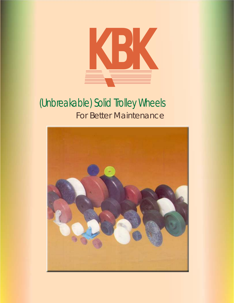

# (Unbreakable) Solid Trolley Wheels *For Better Maintenance*

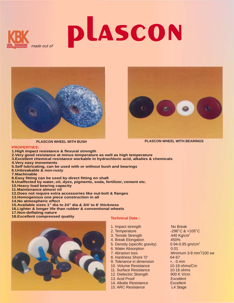**PLASCON** 



*KBK*





#### **PROPERTIES:**

- **1.High impact resistance & flexural strength**
- **2.Very good resistance at minus temperature as well as high temperature**
- **3.Excellent chemical resistance workable in hydrochloric acid, alkalies & chemicals**
- **4.Very easy movements**
- **5.Self lubricating, can be used with or without bush and bearings**
- **6.Unbreakable & non-rusty**
- **7.Machinable**
- **8.Easy fitting can be used by direct fitting on shaft**
- **9.Unaffected by water, oil, dyes, pigments, soda, fertilizer, cement etc.**
- **10.Heavy load bearing capacity**
- **11.Maintenance almost nil**
- **12.Does not require extra accessories like nut-bolt & flanges**
- **13.Homogenous one piece construction in all**
- **14.No atmospheric effect**
- **15.Available sizes 1" dia to 24" dia & 3/4' to 6' thickness**
- **16.Lighter & longer life than rubber & conventional wheels**
- **17.Non-deflating nature**
- **18.Excellent compressed quality**

#### **Technical Data :**

2. Temperature

3. Tensile Strength

6. Water Absorption<br>7. Abrasion loss



- 4. Break Elongation 450% 5. Density (specific gravity) 0.94-<br>6. Water Absorption 0.01 8. Hardness Shore 'D' 64-67
- 
- 
- 12. Dielectric Strength
- 13. Acid Proof Excellent
- 14. Alkalie Resistance Excellent
	- 15. ARC Resistance L4 Stage
- 1. Impact strength No Break 440  $Kg/cm<sup>2</sup>$ 0.94-0.95  $gm/cm<sup>3</sup>$ 7. Abrasion loss Minimum 3-8 mm<sup>3</sup>/100 sw 9. Tolerance in dimension  $+$ , -3 mm<br>10. Volume Resistance 10-18 ohms/Cm 10. Volume Resistance 10-18 ohms/<br>11. Surface Resistance 10-16 ohms 11. Surface Resistance 10-16 ohms<br>12. Dielectric Strength 10-000 K V/cm  $-296^{\circ}$ C &  $+105^{\circ}$ C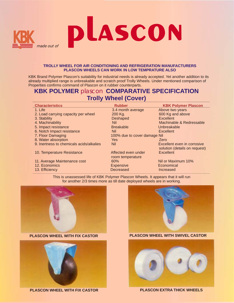

#### **TROLLY WHEEL FOR AIR CONDITIONING AND REFRIGERATION MANUFACTURERS PLASCON WHEELS CAN WORK IN LOW TEMPRATURE ALSO**

KBK Brand Polymer Plascon's suitability for industrial needs is already accepted. Yet another addition to its already multiplied range is unbreakable and scratch proof Trolly Wheels. Under mentioned comparison of Properties confirms command of Plascon on it rubber counterparts.

### **KBK POLYMER plascon COMPARATIVE SPECIFICATION Trolly Wheel (Cover)**

| <b>Characteristics</b>                   | <b>Rubber</b>                | <b>KBK Polymer Plascon</b>    |
|------------------------------------------|------------------------------|-------------------------------|
| 1. Life                                  | 3.4 month average            | Above two years               |
| 2. Load carrying capacity per wheel      | 200 Kg.                      | 600 Kg and above              |
| 3. Stability                             | <b>Deshaped</b>              | Excellent                     |
| 4. Machinability                         | <b>Nil</b>                   | Machinable & Redressable      |
| 5. Impact resistance                     | <b>Breakable</b>             | Unbreakable                   |
| 6. Notch Impact resistance               | Nil                          | Excellent                     |
| 7. Floor Damaging                        | 100% due to cover damage Nil |                               |
| 8. Water absorption                      | <b>Yes</b>                   | Zero                          |
| 9. Inertness to chemicals acids/alkalies | <b>Nil</b>                   | Excellent even in corrosive   |
|                                          |                              | solution (details on request) |
| 10. Temperature Resistance               | Affected even under          | Excellent                     |
|                                          | room temperature             |                               |
| 11. Average Maintenance cost             | 60%                          | Nil or Maximum 10%            |
| 12. Economics                            | <b>Expensive</b>             | Economical                    |
| 13. Efficiency                           | <b>Decreased</b>             | <b>Increased</b>              |

This is unassessed life of KBK Polymer Plascon Wheels. It appears that it will run for another 2/3 times more as till date deployed wheels are in working.



*KBK*





**PLASCON WHEEL WITH FIX CASTOR PLASCON WHEEL WITH SWIVEL CASTOR**



**PLASCON WHEEL WITH FIX CASTOR PLASCON EXTRA THICK WHEELS**